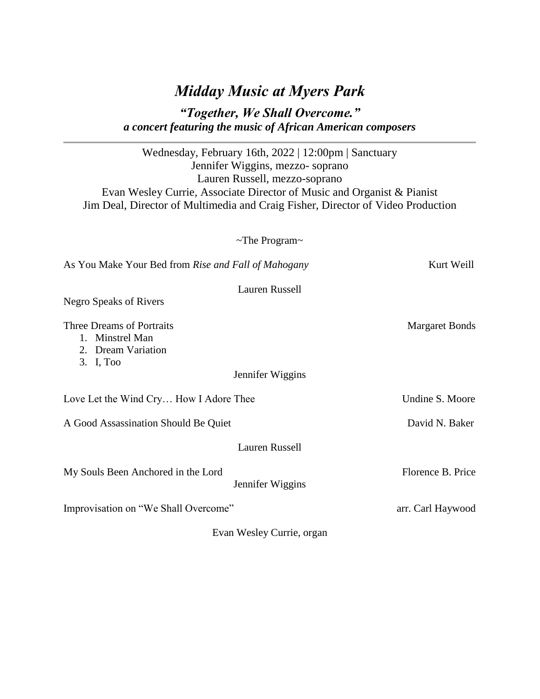## *Midday Music at Myers Park*

## *"Together, We Shall Overcome." a concert featuring the music of African American composers*

Wednesday, February 16th, 2022 | 12:00pm | Sanctuary Jennifer Wiggins, mezzo- soprano Lauren Russell, mezzo-soprano Evan Wesley Currie, Associate Director of Music and Organist & Pianist Jim Deal, Director of Multimedia and Craig Fisher, Director of Video Production

~The Program~

| As You Make Your Bed from Rise and Fall of Mahogany                             |                           | Kurt Weill            |
|---------------------------------------------------------------------------------|---------------------------|-----------------------|
| <b>Negro Speaks of Rivers</b>                                                   | Lauren Russell            |                       |
| Three Dreams of Portraits<br>1. Minstrel Man<br>2. Dream Variation<br>3. I, Too | Jennifer Wiggins          | <b>Margaret Bonds</b> |
| Love Let the Wind Cry How I Adore Thee                                          |                           | Undine S. Moore       |
| A Good Assassination Should Be Quiet                                            |                           | David N. Baker        |
|                                                                                 | <b>Lauren Russell</b>     |                       |
| My Souls Been Anchored in the Lord                                              | Jennifer Wiggins          | Florence B. Price     |
| Improvisation on "We Shall Overcome"                                            |                           | arr. Carl Haywood     |
|                                                                                 | Evan Wesley Currie, organ |                       |